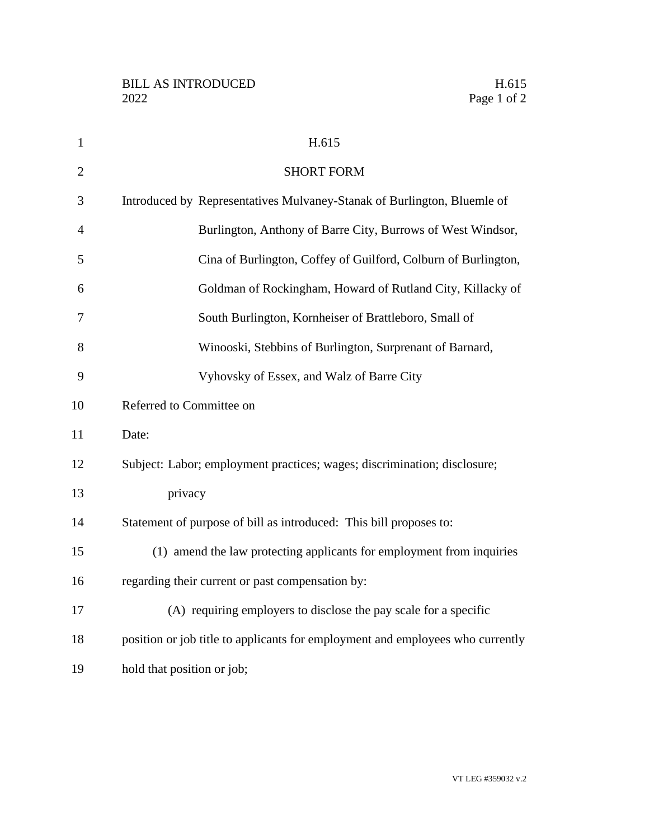| $\mathbf{1}$   | H.615                                                                          |
|----------------|--------------------------------------------------------------------------------|
| $\overline{2}$ | <b>SHORT FORM</b>                                                              |
| 3              | Introduced by Representatives Mulvaney-Stanak of Burlington, Bluemle of        |
| $\overline{4}$ | Burlington, Anthony of Barre City, Burrows of West Windsor,                    |
| 5              | Cina of Burlington, Coffey of Guilford, Colburn of Burlington,                 |
| 6              | Goldman of Rockingham, Howard of Rutland City, Killacky of                     |
| 7              | South Burlington, Kornheiser of Brattleboro, Small of                          |
| 8              | Winooski, Stebbins of Burlington, Surprenant of Barnard,                       |
| 9              | Vyhovsky of Essex, and Walz of Barre City                                      |
| 10             | Referred to Committee on                                                       |
| 11             | Date:                                                                          |
| 12             | Subject: Labor; employment practices; wages; discrimination; disclosure;       |
| 13             | privacy                                                                        |
| 14             | Statement of purpose of bill as introduced: This bill proposes to:             |
| 15             | (1) amend the law protecting applicants for employment from inquiries          |
| 16             | regarding their current or past compensation by:                               |
| 17             | (A) requiring employers to disclose the pay scale for a specific               |
| 18             | position or job title to applicants for employment and employees who currently |
| 19             | hold that position or job;                                                     |